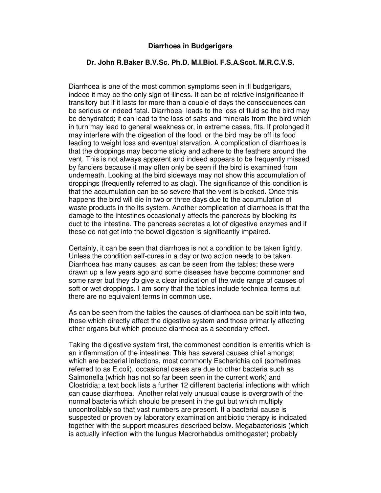## **Diarrhoea in Budgerigars**

## **Dr. John R.Baker B.V.Sc. Ph.D. M.I.Biol. F.S.A.Scot. M.R.C.V.S.**

Diarrhoea is one of the most common symptoms seen in ill budgerigars, indeed it may be the only sign of illness. It can be of relative insignificance if transitory but if it lasts for more than a couple of days the consequences can be serious or indeed fatal. Diarrhoea leads to the loss of fluid so the bird may be dehydrated; it can lead to the loss of salts and minerals from the bird which in turn may lead to general weakness or, in extreme cases, fits. If prolonged it may interfere with the digestion of the food, or the bird may be off its food leading to weight loss and eventual starvation. A complication of diarrhoea is that the droppings may become sticky and adhere to the feathers around the vent. This is not always apparent and indeed appears to be frequently missed by fanciers because it may often only be seen if the bird is examined from underneath. Looking at the bird sideways may not show this accumulation of droppings (frequently referred to as clag). The significance of this condition is that the accumulation can be so severe that the vent is blocked. Once this happens the bird will die in two or three days due to the accumulation of waste products in the its system. Another complication of diarrhoea is that the damage to the intestines occasionally affects the pancreas by blocking its duct to the intestine. The pancreas secretes a lot of digestive enzymes and if these do not get into the bowel digestion is significantly impaired.

Certainly, it can be seen that diarrhoea is not a condition to be taken lightly. Unless the condition self-cures in a day or two action needs to be taken. Diarrhoea has many causes, as can be seen from the tables; these were drawn up a few years ago and some diseases have become commoner and some rarer but they do give a clear indication of the wide range of causes of soft or wet droppings. I am sorry that the tables include technical terms but there are no equivalent terms in common use.

As can be seen from the tables the causes of diarrhoea can be split into two, those which directly affect the digestive system and those primarily affecting other organs but which produce diarrhoea as a secondary effect.

Taking the digestive system first, the commonest condition is enteritis which is an inflammation of the intestines. This has several causes chief amongst which are bacterial infections, most commonly Escherichia coli (sometimes referred to as E.coli). occasional cases are due to other bacteria such as Salmonella (which has not so far been seen in the current work) and Clostridia; a text book lists a further 12 different bacterial infections with which can cause diarrhoea. Another relatively unusual cause is overgrowth of the normal bacteria which should be present in the gut but which multiply uncontrollably so that vast numbers are present. If a bacterial cause is suspected or proven by laboratory examination antibiotic therapy is indicated together with the support measures described below. Megabacteriosis (which is actually infection with the fungus Macrorhabdus ornithogaster) probably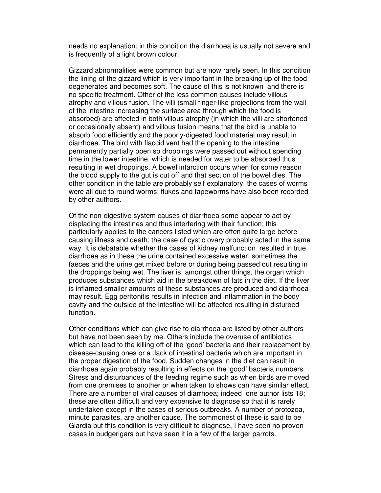needs no explanation; in this condition the diarrhoea is usually not severe and is frequently of a light brown colour.

Gizzard abnormalities were common but are now rarely seen. In this condition the lining of the gizzard which is very important in the breaking up of the food degenerates and becomes soft. The cause of this is not known and there is no specific treatment. Other of the less common causes include villous atrophy and villous fusion. The villi (small finger-like projections from the wall of the intestine increasing the surface area through which the food is absorbed) are affected in both villous atrophy (in which the villi are shortened or occasionally absent) and villous fusion means that the bird is unable to absorb food efficiently and the poorly-digested food material may result in diarrhoea. The bird with flaccid vent had the opening to the intestine permanently partially open so droppings were passed out without spending time in the lower intestine which is needed for water to be absorbed thus resulting in wet droppings. A bowel infarction occurs when for some reason the blood supply to the gut is cut off and that section of the bowel dies. The other condition in the table are probably self explanatory, the cases of worms were all due to round worms; flukes and tapeworms have also been recorded by other authors.

Of the non-digestive system causes of diarrhoea some appear to act by displacing the intestines and thus interfering with their function; this particularly applies to the cancers listed which are often quite large before causing illness and death; the case of cystic ovary probably acted in the same way. It is debatable whether the cases of kidney malfunction resulted in true diarrhoea as in these the urine contained excessive water; sometimes the faeces and the urine get mixed before or during being passed out resulting in the droppings being wet. The liver is, amongst other things, the organ which produces substances which aid in the breakdown of fats in the diet. If the liver is inflamed smaller amounts of these substances are produced and diarrhoea may result. Egg peritonitis results in infection and inflammation in the body cavity and the outside of the intestine will be affected resulting in disturbed function.

Other conditions which can give rise to diarrhoea are listed by other authors but have not been seen by me. Others include the overuse of antibiotics which can lead to the killing off of the 'good' bacteria and their replacement by disease-causing ones or a ;lack of intestinal bacteria which are important in the proper digestion of the food. Sudden changes in the diet can result in diarrhoea again probably resulting in effects on the 'good' bacteria numbers. Stress and disturbances of the feeding regime such as when birds are moved from one premises to another or when taken to shows can have similar effect. There are a number of viral causes of diarrhoea; indeed one author lists 18; these are often difficult and very expensive to diagnose so that it is rarely undertaken except in the cases of serious outbreaks. A number of protozoa, minute parasites, are another cause. The commonest of these is said to be Giardia but this condition is very difficult to diagnose, I have seen no proven cases in budgerigars but have seen it in a few of the larger parrots.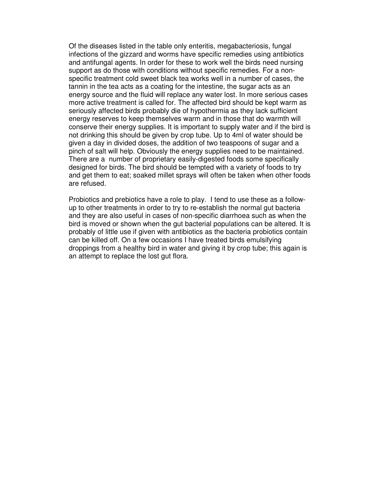Of the diseases listed in the table only enteritis, megabacteriosis, fungal infections of the gizzard and worms have specific remedies using antibiotics and antifungal agents. In order for these to work well the birds need nursing support as do those with conditions without specific remedies. For a nonspecific treatment cold sweet black tea works well in a number of cases, the tannin in the tea acts as a coating for the intestine, the sugar acts as an energy source and the fluid will replace any water lost. In more serious cases more active treatment is called for. The affected bird should be kept warm as seriously affected birds probably die of hypothermia as they lack sufficient energy reserves to keep themselves warm and in those that do warmth will conserve their energy supplies. It is important to supply water and if the bird is not drinking this should be given by crop tube. Up to 4ml of water should be given a day in divided doses, the addition of two teaspoons of sugar and a pinch of salt will help. Obviously the energy supplies need to be maintained. There are a number of proprietary easily-digested foods some specifically designed for birds. The bird should be tempted with a variety of foods to try and get them to eat; soaked millet sprays will often be taken when other foods are refused.

Probiotics and prebiotics have a role to play. I tend to use these as a followup to other treatments in order to try to re-establish the normal gut bacteria and they are also useful in cases of non-specific diarrhoea such as when the bird is moved or shown when the gut bacterial populations can be altered. It is probably of little use if given with antibiotics as the bacteria probiotics contain can be killed off. On a few occasions I have treated birds emulsifying droppings from a healthy bird in water and giving it by crop tube; this again is an attempt to replace the lost gut flora.